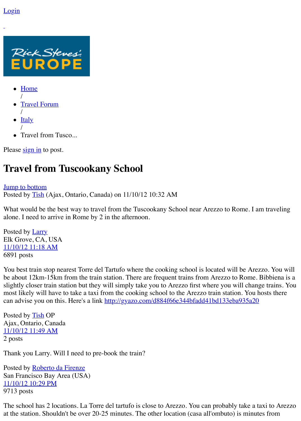

- $\bullet$  [Home](https://www.ricksteves.com/) /
- [Travel Forum](https://www.ricksteves.com/travel-forum) /
- $\bullet$  [Italy](https://community.ricksteves.com/travel-forum/italy) /
- Travel from Tusco...

Please  $\frac{\text{sign in}}{\text{in}}$  to post.

## <span id="page-0-3"></span>**Travel from Tuscookany School**

## **[Jump to bottom](#page-1-0)** Posted by [Tish](https://community.ricksteves.com/users/58524) (Ajax, Ontario, Canada) on 11/10/12 10:32 AM

What would be the best way to travel from the Tuscookany School near Arezzo to Rome. I am traveling alone. I need to arrive in Rome by 2 in the afternoon.

<span id="page-0-0"></span>Posted by <u>[Larry](https://community.ricksteves.com/users/3122)</u> Elk Grove, CA, USA [11/10/12 11:18 AM](#page-0-0) 6891 posts

You best train stop nearest Torre del Tartufo where the cooking school is located will be Arezzo. You will be about 12km-15km from the train station. There are frequent trains from Arezzo to Rome. Bibbiena is a slightly closer train station but they will simply take you to Arezzo first where you will change trains. You most likely will have to take a taxi from the cooking school to the Arezzo train station. You hosts there can advise you on this. Here's a link<http://gyazo.com/d884f66e344bfadd41bd133eba935a20>

<span id="page-0-1"></span>Posted by **[Tish](https://community.ricksteves.com/users/58524) OP** Ajax, Ontario, Canada [11/10/12 11:49 AM](#page-0-1) 2 posts

Thank you Larry. Will I need to pre-book the train?

<span id="page-0-2"></span>Posted by **[Roberto da Firenze](https://community.ricksteves.com/users/57528)** San Francisco Bay Area (USA) [11/10/12 10:29 PM](#page-0-2) 9713 posts

The school has 2 locations. La Torre del tartufo is close to Arezzo. You can probably take a taxi to Arezzo at the station. Shouldn't be over 20-25 minutes. The other location (casa all'ombuto) is minutes from